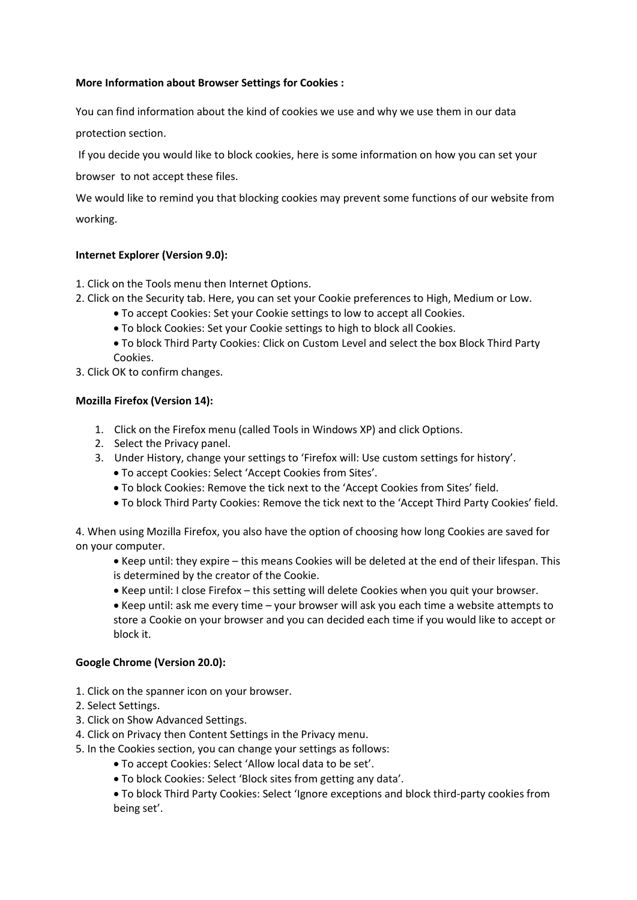### **More Information about Browser Settings for Cookies :**

You can find information about the kind of cookies we use and why we use them in our data

protection section.

If you decide you would like to block cookies, here is some information on how you can set your

browser to not accept these files.

We would like to remind you that blocking cookies may prevent some functions of our website from working.

# **Internet Explorer (Version 9.0):**

1. Click on the Tools menu then Internet Options.

- 2. Click on the Security tab. Here, you can set your Cookie preferences to High, Medium or Low.
	- To accept Cookies: Set your Cookie settings to low to accept all Cookies.
	- To block Cookies: Set your Cookie settings to high to block all Cookies.
	- To block Third Party Cookies: Click on Custom Level and select the box Block Third Party Cookies.
- 3. Click OK to confirm changes.

## **Mozilla Firefox (Version 14):**

- 1. Click on the Firefox menu (called Tools in Windows XP) and click Options.
- 2. Select the Privacy panel.
- 3. Under History, change your settings to 'Firefox will: Use custom settings for history'.
	- To accept Cookies: Select 'Accept Cookies from Sites'.
	- To block Cookies: Remove the tick next to the 'Accept Cookies from Sites' field.
	- To block Third Party Cookies: Remove the tick next to the 'Accept Third Party Cookies' field.

4. When using Mozilla Firefox, you also have the option of choosing how long Cookies are saved for on your computer.

- Keep until: they expire this means Cookies will be deleted at the end of their lifespan. This is determined by the creator of the Cookie.
- Keep until: I close Firefox this setting will delete Cookies when you quit your browser.
- Keep until: ask me every time your browser will ask you each time a website attempts to store a Cookie on your browser and you can decided each time if you would like to accept or block it.

## **Google Chrome (Version 20.0):**

- 1. Click on the spanner icon on your browser.
- 2. Select Settings.
- 3. Click on Show Advanced Settings.
- 4. Click on Privacy then Content Settings in the Privacy menu.
- 5. In the Cookies section, you can change your settings as follows:
	- To accept Cookies: Select 'Allow local data to be set'.
	- To block Cookies: Select 'Block sites from getting any data'.

 To block Third Party Cookies: Select 'Ignore exceptions and block third-party cookies from being set'.